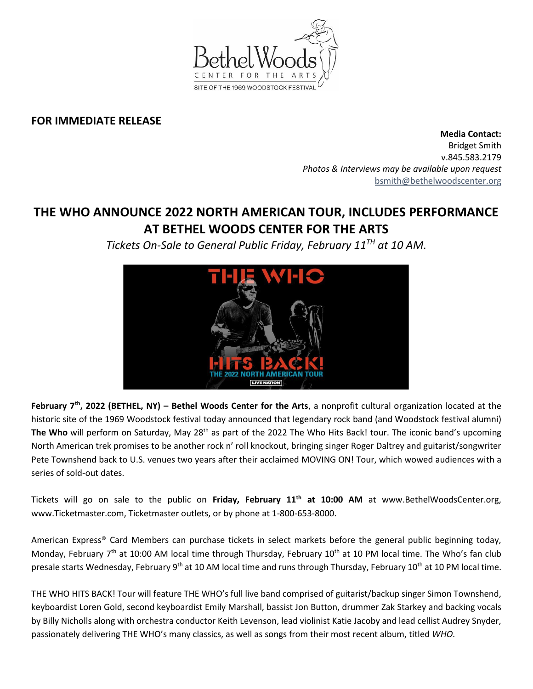

## **FOR IMMEDIATE RELEASE**

**Media Contact:**  Bridget Smith v.845.583.2179 *Photos & Interviews may be available upon request* [bsmith@bethelwoodscenter.org](mailto:bsmith@bethelwoodscenter.org)

## **THE WHO ANNOUNCE 2022 NORTH AMERICAN TOUR, INCLUDES PERFORMANCE AT BETHEL WOODS CENTER FOR THE ARTS**

*Tickets On-Sale to General Public Friday, February 11TH at 10 AM.*



**February 7th , 2022 (BETHEL, NY) – Bethel Woods Center for the Arts**, a nonprofit cultural organization located at the historic site of the 1969 Woodstock festival today announced that legendary rock band (and Woodstock festival alumni) The Who will perform on Saturday, May 28<sup>th</sup> as part of the 2022 The Who Hits Back! tour. The iconic band's upcoming North American trek promises to be another rock n' roll knockout, bringing singer Roger Daltrey and guitarist/songwriter Pete Townshend back to U.S. venues two years after their acclaimed MOVING ON! Tour, which wowed audiences with a series of sold-out dates.

Tickets will go on sale to the public on **Friday, February 11th at 10:00 AM** at www.BethelWoodsCenter.org, www.Ticketmaster.com, Ticketmaster outlets, or by phone at 1-800-653-8000.

American Express® Card Members can purchase tickets in select markets before the general public beginning today, Monday, February  $7<sup>th</sup>$  at 10:00 AM local time through Thursday, February 10<sup>th</sup> at 10 PM local time. The Who's fan club presale starts Wednesday, February 9<sup>th</sup> at 10 AM local time and runs through Thursday, February 10<sup>th</sup> at 10 PM local time.

THE WHO HITS BACK! Tour will feature THE WHO's full live band comprised of guitarist/backup singer Simon Townshend, keyboardist Loren Gold, second keyboardist Emily Marshall, bassist Jon Button, drummer Zak Starkey and backing vocals by Billy Nicholls along with orchestra conductor Keith Levenson, lead violinist Katie Jacoby and lead cellist Audrey Snyder, passionately delivering THE WHO's many classics, as well as songs from their most recent album, titled *WHO*.